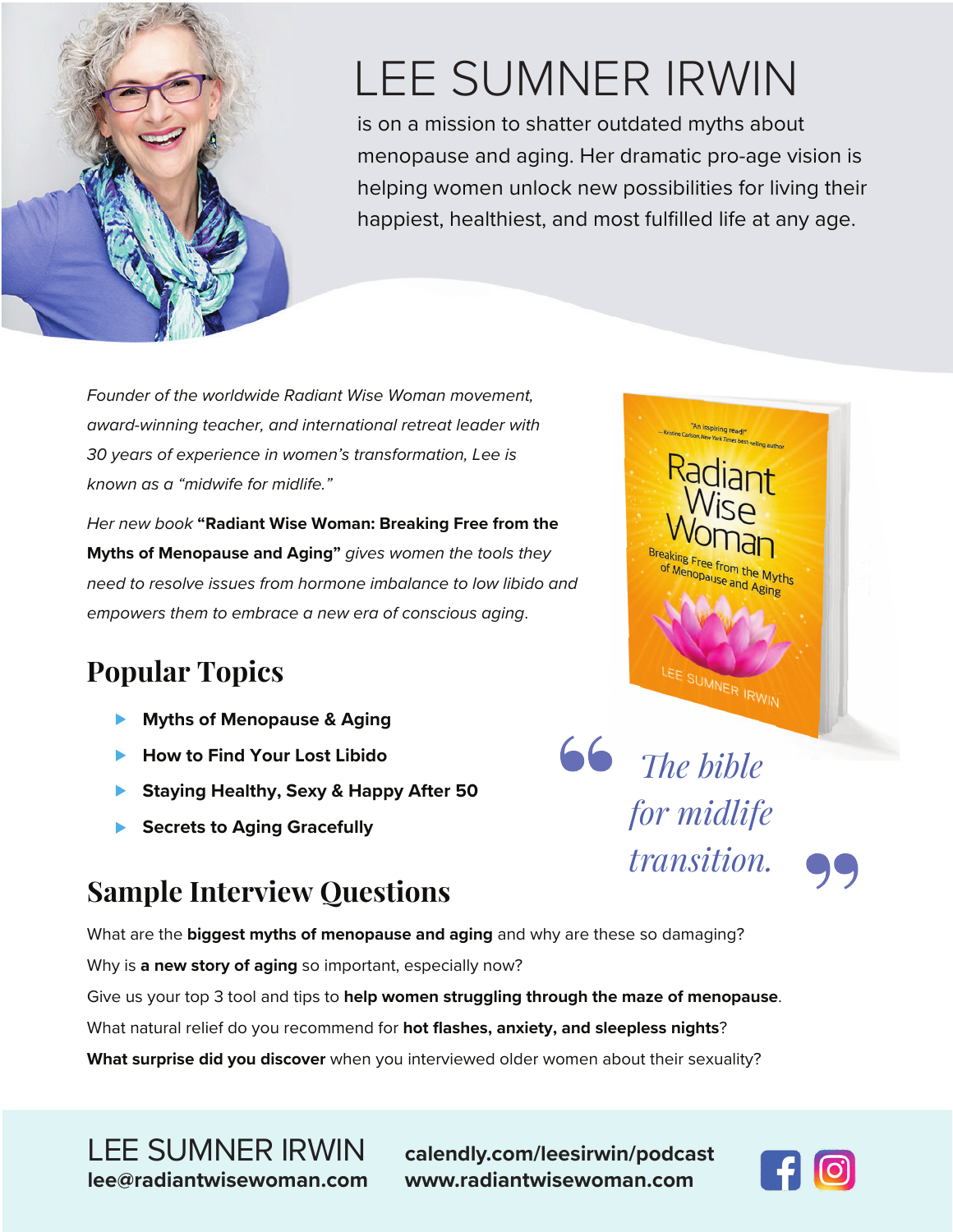

# LEE SUMNER IRWIN

is on a mission to shatter outdated myths about menopause and aging. Her dramatic pro-age vision is helping women unlock new possibilities for living their happiest, healthiest, and most fulfilled life at any age.

*<u>follo</u> <i>The bible* 

*for midlife* 

nn Inspiring<br>stine Carlson, New York Tim

aking Free from the Myths

E SUMNER IRWIN

*transition.*

*Founder of the worldwide Radiant Wise Woman movement, award-winning teacher, and international retreat leader with 30 years of experience in women's transformation, Lee is known as a "midwife for midlife."*

*Her new book* **"Radiant Wise Woman: Breaking Free from the Myths of Menopause and Aging"** *gives women the tools they need to resolve issues from hormone imbalance to low libido and empowers them to embrace a new era of conscious aging*.

#### **Popular Topics**

- **Myths of Menopause & Aging**
- ▶ How to Find Your Lost Libido
- ▶ Staying Healthy, Sexy & Happy After 50
- **Secrets to Aging Gracefully**

## **Sample Interview Questions**

What are the **biggest myths of menopause and aging** and why are these so damaging?

Why is **a new story of aging** so important, especially now?

Give us your top 3 tool and tips to **help women struggling through the maze of menopause**.

What natural relief do you recommend for **hot flashes, anxiety, and sleepless nights**?

**What surprise did you discover** when you interviewed older women about their sexuality?

LEE SUMNER IRWIN **calendly.com/leesirwin/podcast lee@radiantwisewoman.com www.radiantwisewoman.com**